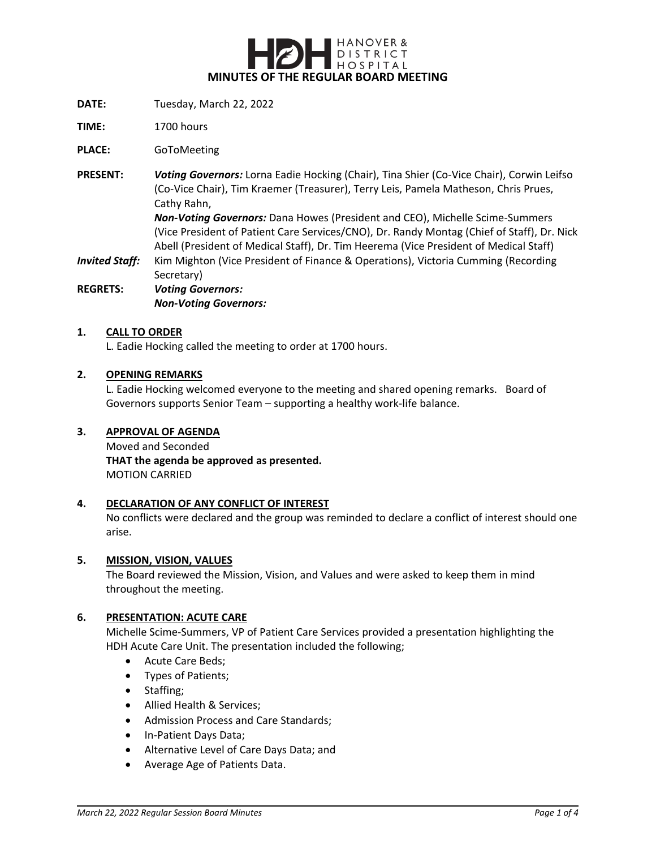

- **DATE:** Tuesday, March 22, 2022
- **TIME:** 1700 hours

**PLACE:** GoToMeeting

- **PRESENT:** *Voting Governors:* Lorna Eadie Hocking (Chair), Tina Shier (Co-Vice Chair), Corwin Leifso (Co-Vice Chair), Tim Kraemer (Treasurer), Terry Leis, Pamela Matheson, Chris Prues, Cathy Rahn, *Non-Voting Governors:* Dana Howes (President and CEO), Michelle Scime-Summers (Vice President of Patient Care Services/CNO), Dr. Randy Montag (Chief of Staff), Dr. Nick Abell (President of Medical Staff), Dr. Tim Heerema (Vice President of Medical Staff)
- *Invited Staff:* Kim Mighton (Vice President of Finance & Operations), Victoria Cumming (Recording Secretary)

**REGRETS:** *Voting Governors: Non-Voting Governors:*

#### **1. CALL TO ORDER**

L. Eadie Hocking called the meeting to order at 1700 hours.

#### **2. OPENING REMARKS**

L. Eadie Hocking welcomed everyone to the meeting and shared opening remarks. Board of Governors supports Senior Team – supporting a healthy work-life balance.

#### **3. APPROVAL OF AGENDA**

Moved and Seconded **THAT the agenda be approved as presented.** MOTION CARRIED

#### **4. DECLARATION OF ANY CONFLICT OF INTEREST**

No conflicts were declared and the group was reminded to declare a conflict of interest should one arise.

#### **5. MISSION, VISION, VALUES**

The Board reviewed the Mission, Vision, and Values and were asked to keep them in mind throughout the meeting.

#### **6. PRESENTATION: ACUTE CARE**

Michelle Scime-Summers, VP of Patient Care Services provided a presentation highlighting the HDH Acute Care Unit. The presentation included the following;

- Acute Care Beds;
- Types of Patients;
- Staffing;
- Allied Health & Services;
- Admission Process and Care Standards;
- In-Patient Days Data;
- Alternative Level of Care Days Data; and
- Average Age of Patients Data.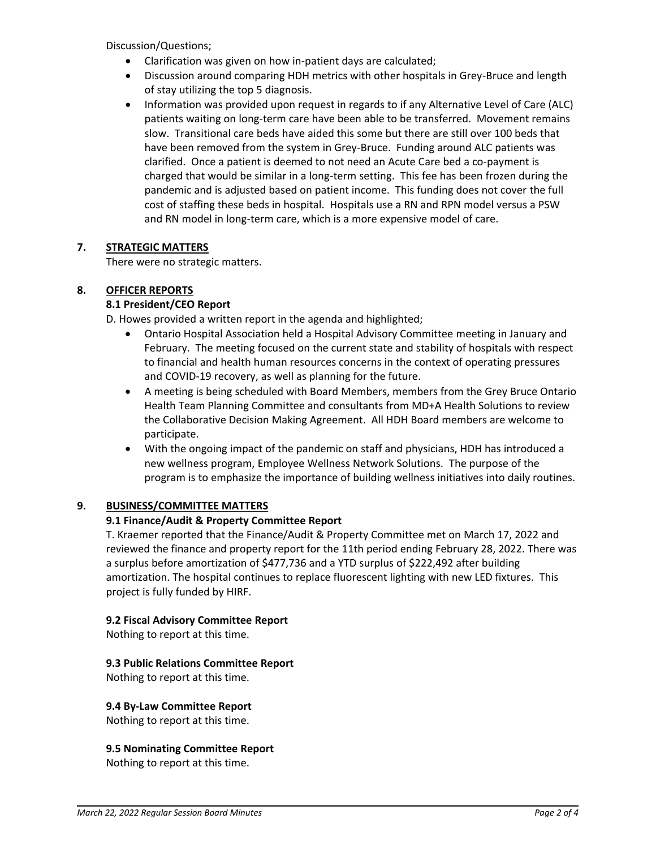Discussion/Questions;

- Clarification was given on how in-patient days are calculated;
- Discussion around comparing HDH metrics with other hospitals in Grey-Bruce and length of stay utilizing the top 5 diagnosis.
- Information was provided upon request in regards to if any Alternative Level of Care (ALC) patients waiting on long-term care have been able to be transferred. Movement remains slow. Transitional care beds have aided this some but there are still over 100 beds that have been removed from the system in Grey-Bruce. Funding around ALC patients was clarified. Once a patient is deemed to not need an Acute Care bed a co-payment is charged that would be similar in a long-term setting. This fee has been frozen during the pandemic and is adjusted based on patient income. This funding does not cover the full cost of staffing these beds in hospital. Hospitals use a RN and RPN model versus a PSW and RN model in long-term care, which is a more expensive model of care.

## **7. STRATEGIC MATTERS**

There were no strategic matters.

## **8. OFFICER REPORTS**

## **8.1 President/CEO Report**

D. Howes provided a written report in the agenda and highlighted;

- Ontario Hospital Association held a Hospital Advisory Committee meeting in January and February. The meeting focused on the current state and stability of hospitals with respect to financial and health human resources concerns in the context of operating pressures and COVID-19 recovery, as well as planning for the future.
- A meeting is being scheduled with Board Members, members from the Grey Bruce Ontario Health Team Planning Committee and consultants from MD+A Health Solutions to review the Collaborative Decision Making Agreement. All HDH Board members are welcome to participate.
- With the ongoing impact of the pandemic on staff and physicians, HDH has introduced a new wellness program, Employee Wellness Network Solutions. The purpose of the program is to emphasize the importance of building wellness initiatives into daily routines.

## **9. BUSINESS/COMMITTEE MATTERS**

## **9.1 Finance/Audit & Property Committee Report**

T. Kraemer reported that the Finance/Audit & Property Committee met on March 17, 2022 and reviewed the finance and property report for the 11th period ending February 28, 2022. There was a surplus before amortization of \$477,736 and a YTD surplus of \$222,492 after building amortization. The hospital continues to replace fluorescent lighting with new LED fixtures. This project is fully funded by HIRF.

#### **9.2 Fiscal Advisory Committee Report**

Nothing to report at this time.

#### **9.3 Public Relations Committee Report**

Nothing to report at this time.

#### **9.4 By-Law Committee Report**

Nothing to report at this time.

# **9.5 Nominating Committee Report**

Nothing to report at this time.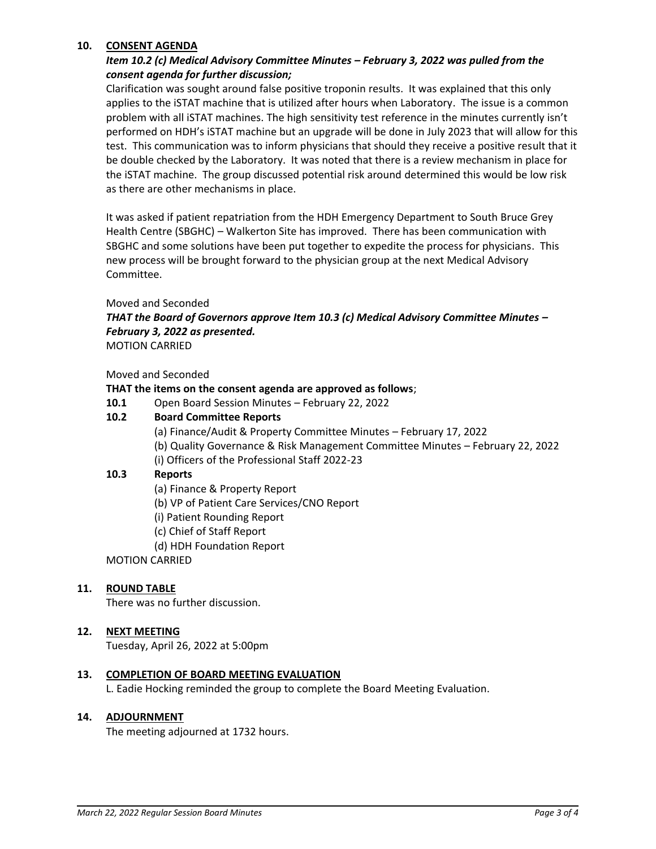### **10. CONSENT AGENDA**

## *Item 10.2 (c) Medical Advisory Committee Minutes – February 3, 2022 was pulled from the consent agenda for further discussion;*

Clarification was sought around false positive troponin results. It was explained that this only applies to the iSTAT machine that is utilized after hours when Laboratory. The issue is a common problem with all iSTAT machines. The high sensitivity test reference in the minutes currently isn't performed on HDH's iSTAT machine but an upgrade will be done in July 2023 that will allow for this test. This communication was to inform physicians that should they receive a positive result that it be double checked by the Laboratory. It was noted that there is a review mechanism in place for the iSTAT machine. The group discussed potential risk around determined this would be low risk as there are other mechanisms in place.

It was asked if patient repatriation from the HDH Emergency Department to South Bruce Grey Health Centre (SBGHC) – Walkerton Site has improved. There has been communication with SBGHC and some solutions have been put together to expedite the process for physicians. This new process will be brought forward to the physician group at the next Medical Advisory Committee.

#### Moved and Seconded

# *THAT the Board of Governors approve Item 10.3 (c) Medical Advisory Committee Minutes – February 3, 2022 as presented.*

MOTION CARRIED

#### Moved and Seconded

#### **THAT the items on the consent agenda are approved as follows**;

**10.1** Open Board Session Minutes – February 22, 2022

## **10.2 Board Committee Reports**

- (a) Finance/Audit & Property Committee Minutes February 17, 2022
- (b) Quality Governance & Risk Management Committee Minutes February 22, 2022
- (i) Officers of the Professional Staff 2022-23

### **10.3 Reports**

- (a) Finance & Property Report
- (b) VP of Patient Care Services/CNO Report
- (i) Patient Rounding Report
- (c) Chief of Staff Report
- (d) HDH Foundation Report

## MOTION CARRIED

#### **11. ROUND TABLE**

There was no further discussion.

#### **12. NEXT MEETING**

Tuesday, April 26, 2022 at 5:00pm

#### **13. COMPLETION OF BOARD MEETING EVALUATION**

L. Eadie Hocking reminded the group to complete the Board Meeting Evaluation.

#### **14. ADJOURNMENT**

The meeting adjourned at 1732 hours.